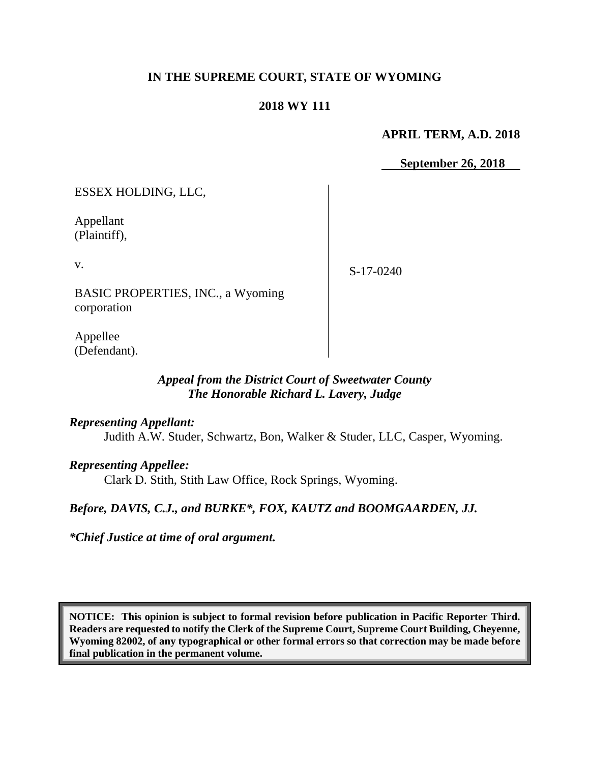### **IN THE SUPREME COURT, STATE OF WYOMING**

#### **2018 WY 111**

#### **APRIL TERM, A.D. 2018**

 **September 26, 2018**

ESSEX HOLDING, LLC,

Appellant (Plaintiff),

v.

S-17-0240

BASIC PROPERTIES, INC., a Wyoming corporation

Appellee (Defendant).

### *Appeal from the District Court of Sweetwater County The Honorable Richard L. Lavery, Judge*

#### *Representing Appellant:*

Judith A.W. Studer, Schwartz, Bon, Walker & Studer, LLC, Casper, Wyoming.

#### *Representing Appellee:*

Clark D. Stith, Stith Law Office, Rock Springs, Wyoming.

### *Before, DAVIS, C.J., and BURKE\*, FOX, KAUTZ and BOOMGAARDEN, JJ.*

*\*Chief Justice at time of oral argument.*

**NOTICE: This opinion is subject to formal revision before publication in Pacific Reporter Third. Readers are requested to notify the Clerk of the Supreme Court, Supreme Court Building, Cheyenne, Wyoming 82002, of any typographical or other formal errors so that correction may be made before final publication in the permanent volume.**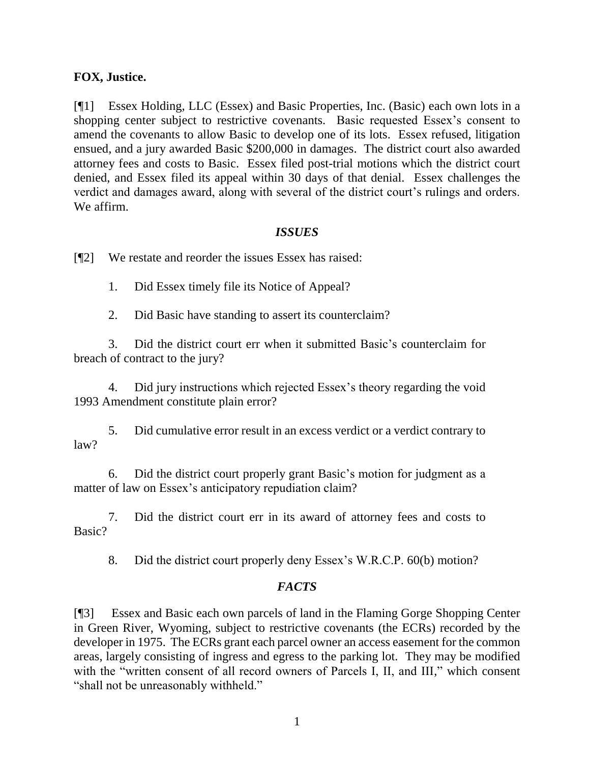#### **FOX, Justice.**

[¶1] Essex Holding, LLC (Essex) and Basic Properties, Inc. (Basic) each own lots in a shopping center subject to restrictive covenants. Basic requested Essex's consent to amend the covenants to allow Basic to develop one of its lots. Essex refused, litigation ensued, and a jury awarded Basic \$200,000 in damages. The district court also awarded attorney fees and costs to Basic. Essex filed post-trial motions which the district court denied, and Essex filed its appeal within 30 days of that denial. Essex challenges the verdict and damages award, along with several of the district court's rulings and orders. We affirm.

### *ISSUES*

[¶2] We restate and reorder the issues Essex has raised:

1. Did Essex timely file its Notice of Appeal?

2. Did Basic have standing to assert its counterclaim?

3. Did the district court err when it submitted Basic's counterclaim for breach of contract to the jury?

4. Did jury instructions which rejected Essex's theory regarding the void 1993 Amendment constitute plain error?

5. Did cumulative error result in an excess verdict or a verdict contrary to law?

6. Did the district court properly grant Basic's motion for judgment as a matter of law on Essex's anticipatory repudiation claim?

7. Did the district court err in its award of attorney fees and costs to Basic?

8. Did the district court properly deny Essex's W.R.C.P. 60(b) motion?

### *FACTS*

[¶3] Essex and Basic each own parcels of land in the Flaming Gorge Shopping Center in Green River, Wyoming, subject to restrictive covenants (the ECRs) recorded by the developer in 1975. The ECRs grant each parcel owner an access easement for the common areas, largely consisting of ingress and egress to the parking lot. They may be modified with the "written consent of all record owners of Parcels I, II, and III," which consent "shall not be unreasonably withheld."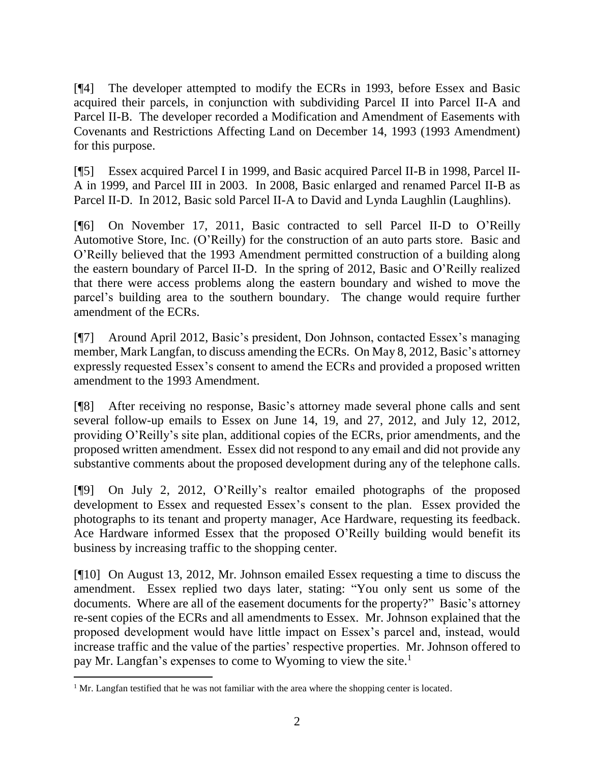[¶4] The developer attempted to modify the ECRs in 1993, before Essex and Basic acquired their parcels, in conjunction with subdividing Parcel II into Parcel II-A and Parcel II-B. The developer recorded a Modification and Amendment of Easements with Covenants and Restrictions Affecting Land on December 14, 1993 (1993 Amendment) for this purpose.

[¶5] Essex acquired Parcel I in 1999, and Basic acquired Parcel II-B in 1998, Parcel II-A in 1999, and Parcel III in 2003. In 2008, Basic enlarged and renamed Parcel II-B as Parcel II-D. In 2012, Basic sold Parcel II-A to David and Lynda Laughlin (Laughlins).

[¶6] On November 17, 2011, Basic contracted to sell Parcel II-D to O'Reilly Automotive Store, Inc. (O'Reilly) for the construction of an auto parts store. Basic and O'Reilly believed that the 1993 Amendment permitted construction of a building along the eastern boundary of Parcel II-D. In the spring of 2012, Basic and O'Reilly realized that there were access problems along the eastern boundary and wished to move the parcel's building area to the southern boundary. The change would require further amendment of the ECRs.

[¶7] Around April 2012, Basic's president, Don Johnson, contacted Essex's managing member, Mark Langfan, to discuss amending the ECRs. On May 8, 2012, Basic's attorney expressly requested Essex's consent to amend the ECRs and provided a proposed written amendment to the 1993 Amendment.

[¶8] After receiving no response, Basic's attorney made several phone calls and sent several follow-up emails to Essex on June 14, 19, and 27, 2012, and July 12, 2012, providing O'Reilly's site plan, additional copies of the ECRs, prior amendments, and the proposed written amendment. Essex did not respond to any email and did not provide any substantive comments about the proposed development during any of the telephone calls.

[¶9] On July 2, 2012, O'Reilly's realtor emailed photographs of the proposed development to Essex and requested Essex's consent to the plan. Essex provided the photographs to its tenant and property manager, Ace Hardware, requesting its feedback. Ace Hardware informed Essex that the proposed O'Reilly building would benefit its business by increasing traffic to the shopping center.

[¶10] On August 13, 2012, Mr. Johnson emailed Essex requesting a time to discuss the amendment. Essex replied two days later, stating: "You only sent us some of the documents. Where are all of the easement documents for the property?" Basic's attorney re-sent copies of the ECRs and all amendments to Essex. Mr. Johnson explained that the proposed development would have little impact on Essex's parcel and, instead, would increase traffic and the value of the parties' respective properties. Mr. Johnson offered to pay Mr. Langfan's expenses to come to Wyoming to view the site.<sup>1</sup>

 $\overline{a}$ <sup>1</sup> Mr. Langfan testified that he was not familiar with the area where the shopping center is located.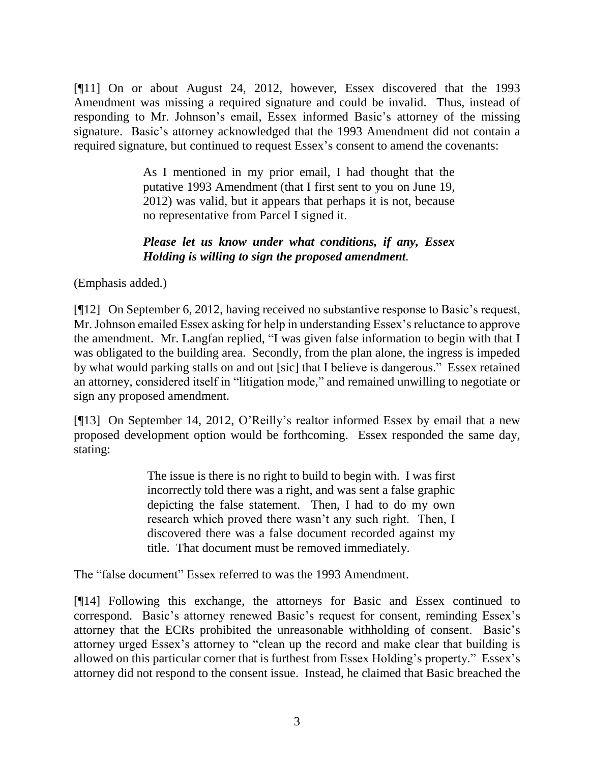[¶11] On or about August 24, 2012, however, Essex discovered that the 1993 Amendment was missing a required signature and could be invalid. Thus, instead of responding to Mr. Johnson's email, Essex informed Basic's attorney of the missing signature. Basic's attorney acknowledged that the 1993 Amendment did not contain a required signature, but continued to request Essex's consent to amend the covenants:

> As I mentioned in my prior email, I had thought that the putative 1993 Amendment (that I first sent to you on June 19, 2012) was valid, but it appears that perhaps it is not, because no representative from Parcel I signed it.

## *Please let us know under what conditions, if any, Essex Holding is willing to sign the proposed amendment.*

(Emphasis added.)

[¶12] On September 6, 2012, having received no substantive response to Basic's request, Mr. Johnson emailed Essex asking for help in understanding Essex's reluctance to approve the amendment. Mr. Langfan replied, "I was given false information to begin with that I was obligated to the building area. Secondly, from the plan alone, the ingress is impeded by what would parking stalls on and out [sic] that I believe is dangerous." Essex retained an attorney, considered itself in "litigation mode," and remained unwilling to negotiate or sign any proposed amendment.

[¶13] On September 14, 2012, O'Reilly's realtor informed Essex by email that a new proposed development option would be forthcoming. Essex responded the same day, stating:

> The issue is there is no right to build to begin with. I was first incorrectly told there was a right, and was sent a false graphic depicting the false statement. Then, I had to do my own research which proved there wasn't any such right. Then, I discovered there was a false document recorded against my title. That document must be removed immediately.

The "false document" Essex referred to was the 1993 Amendment.

[¶14] Following this exchange, the attorneys for Basic and Essex continued to correspond. Basic's attorney renewed Basic's request for consent, reminding Essex's attorney that the ECRs prohibited the unreasonable withholding of consent. Basic's attorney urged Essex's attorney to "clean up the record and make clear that building is allowed on this particular corner that is furthest from Essex Holding's property." Essex's attorney did not respond to the consent issue. Instead, he claimed that Basic breached the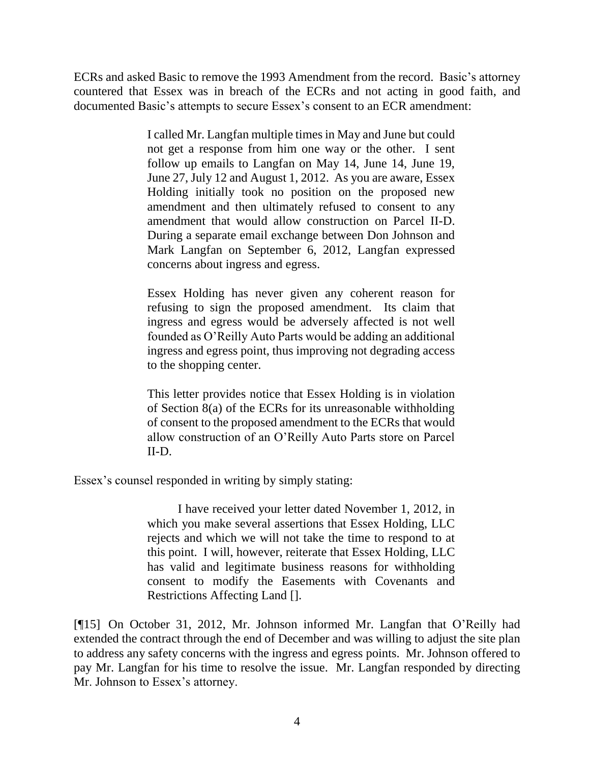ECRs and asked Basic to remove the 1993 Amendment from the record. Basic's attorney countered that Essex was in breach of the ECRs and not acting in good faith, and documented Basic's attempts to secure Essex's consent to an ECR amendment:

> I called Mr. Langfan multiple times in May and June but could not get a response from him one way or the other. I sent follow up emails to Langfan on May 14, June 14, June 19, June 27, July 12 and August 1, 2012. As you are aware, Essex Holding initially took no position on the proposed new amendment and then ultimately refused to consent to any amendment that would allow construction on Parcel II-D. During a separate email exchange between Don Johnson and Mark Langfan on September 6, 2012, Langfan expressed concerns about ingress and egress.

> Essex Holding has never given any coherent reason for refusing to sign the proposed amendment. Its claim that ingress and egress would be adversely affected is not well founded as O'Reilly Auto Parts would be adding an additional ingress and egress point, thus improving not degrading access to the shopping center.

> This letter provides notice that Essex Holding is in violation of Section 8(a) of the ECRs for its unreasonable withholding of consent to the proposed amendment to the ECRs that would allow construction of an O'Reilly Auto Parts store on Parcel II-D.

Essex's counsel responded in writing by simply stating:

I have received your letter dated November 1, 2012, in which you make several assertions that Essex Holding, LLC rejects and which we will not take the time to respond to at this point. I will, however, reiterate that Essex Holding, LLC has valid and legitimate business reasons for withholding consent to modify the Easements with Covenants and Restrictions Affecting Land [].

[¶15] On October 31, 2012, Mr. Johnson informed Mr. Langfan that O'Reilly had extended the contract through the end of December and was willing to adjust the site plan to address any safety concerns with the ingress and egress points. Mr. Johnson offered to pay Mr. Langfan for his time to resolve the issue. Mr. Langfan responded by directing Mr. Johnson to Essex's attorney.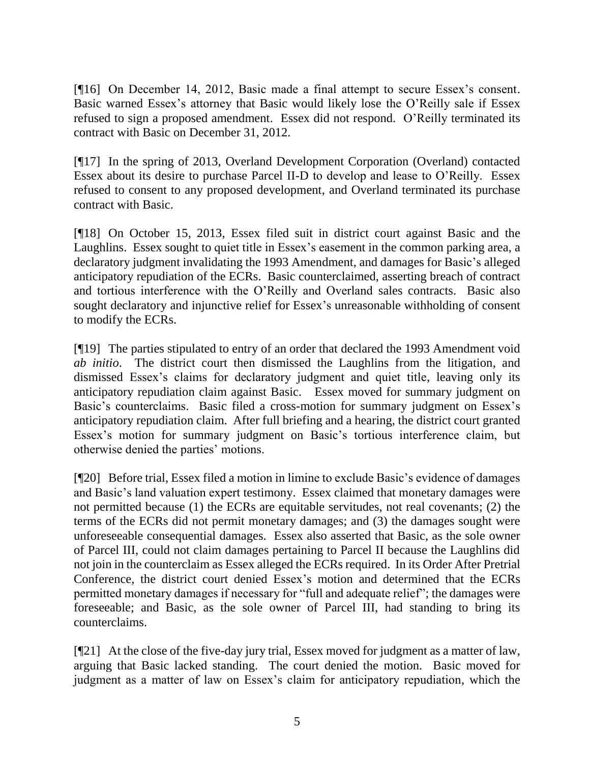[¶16] On December 14, 2012, Basic made a final attempt to secure Essex's consent. Basic warned Essex's attorney that Basic would likely lose the O'Reilly sale if Essex refused to sign a proposed amendment. Essex did not respond. O'Reilly terminated its contract with Basic on December 31, 2012.

[¶17] In the spring of 2013, Overland Development Corporation (Overland) contacted Essex about its desire to purchase Parcel II-D to develop and lease to O'Reilly. Essex refused to consent to any proposed development, and Overland terminated its purchase contract with Basic.

[¶18] On October 15, 2013, Essex filed suit in district court against Basic and the Laughlins. Essex sought to quiet title in Essex's easement in the common parking area, a declaratory judgment invalidating the 1993 Amendment, and damages for Basic's alleged anticipatory repudiation of the ECRs. Basic counterclaimed, asserting breach of contract and tortious interference with the O'Reilly and Overland sales contracts. Basic also sought declaratory and injunctive relief for Essex's unreasonable withholding of consent to modify the ECRs.

[¶19] The parties stipulated to entry of an order that declared the 1993 Amendment void *ab initio*. The district court then dismissed the Laughlins from the litigation, and dismissed Essex's claims for declaratory judgment and quiet title, leaving only its anticipatory repudiation claim against Basic. Essex moved for summary judgment on Basic's counterclaims. Basic filed a cross-motion for summary judgment on Essex's anticipatory repudiation claim. After full briefing and a hearing, the district court granted Essex's motion for summary judgment on Basic's tortious interference claim, but otherwise denied the parties' motions.

[¶20] Before trial, Essex filed a motion in limine to exclude Basic's evidence of damages and Basic's land valuation expert testimony. Essex claimed that monetary damages were not permitted because (1) the ECRs are equitable servitudes, not real covenants; (2) the terms of the ECRs did not permit monetary damages; and (3) the damages sought were unforeseeable consequential damages. Essex also asserted that Basic, as the sole owner of Parcel III, could not claim damages pertaining to Parcel II because the Laughlins did not join in the counterclaim as Essex alleged the ECRs required. In its Order After Pretrial Conference, the district court denied Essex's motion and determined that the ECRs permitted monetary damages if necessary for "full and adequate relief"; the damages were foreseeable; and Basic, as the sole owner of Parcel III, had standing to bring its counterclaims.

[¶21] At the close of the five-day jury trial, Essex moved for judgment as a matter of law, arguing that Basic lacked standing. The court denied the motion. Basic moved for judgment as a matter of law on Essex's claim for anticipatory repudiation, which the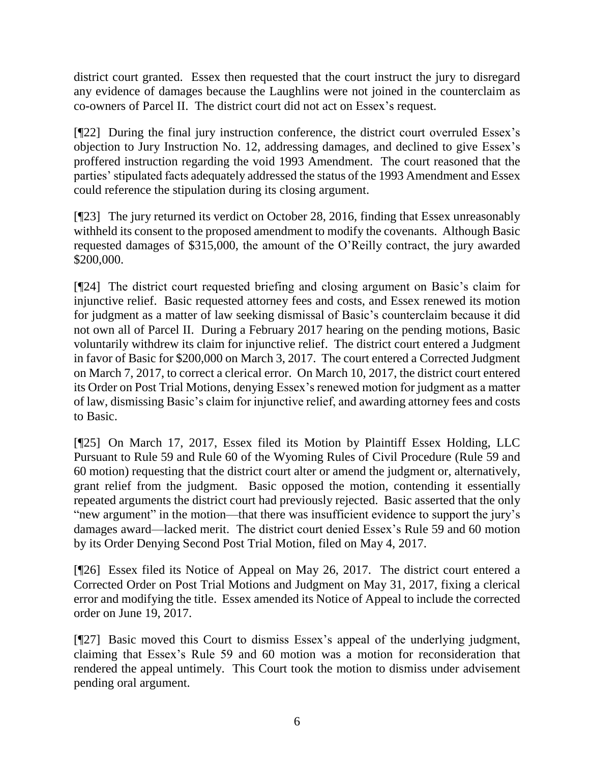district court granted. Essex then requested that the court instruct the jury to disregard any evidence of damages because the Laughlins were not joined in the counterclaim as co-owners of Parcel II. The district court did not act on Essex's request.

[¶22] During the final jury instruction conference, the district court overruled Essex's objection to Jury Instruction No. 12, addressing damages, and declined to give Essex's proffered instruction regarding the void 1993 Amendment. The court reasoned that the parties' stipulated facts adequately addressed the status of the 1993 Amendment and Essex could reference the stipulation during its closing argument.

[¶23] The jury returned its verdict on October 28, 2016, finding that Essex unreasonably withheld its consent to the proposed amendment to modify the covenants. Although Basic requested damages of \$315,000, the amount of the O'Reilly contract, the jury awarded \$200,000.

[¶24] The district court requested briefing and closing argument on Basic's claim for injunctive relief. Basic requested attorney fees and costs, and Essex renewed its motion for judgment as a matter of law seeking dismissal of Basic's counterclaim because it did not own all of Parcel II. During a February 2017 hearing on the pending motions, Basic voluntarily withdrew its claim for injunctive relief. The district court entered a Judgment in favor of Basic for \$200,000 on March 3, 2017. The court entered a Corrected Judgment on March 7, 2017, to correct a clerical error. On March 10, 2017, the district court entered its Order on Post Trial Motions, denying Essex's renewed motion for judgment as a matter of law, dismissing Basic's claim for injunctive relief, and awarding attorney fees and costs to Basic.

[¶25] On March 17, 2017, Essex filed its Motion by Plaintiff Essex Holding, LLC Pursuant to Rule 59 and Rule 60 of the Wyoming Rules of Civil Procedure (Rule 59 and 60 motion) requesting that the district court alter or amend the judgment or, alternatively, grant relief from the judgment. Basic opposed the motion, contending it essentially repeated arguments the district court had previously rejected. Basic asserted that the only "new argument" in the motion—that there was insufficient evidence to support the jury's damages award—lacked merit. The district court denied Essex's Rule 59 and 60 motion by its Order Denying Second Post Trial Motion, filed on May 4, 2017.

[¶26] Essex filed its Notice of Appeal on May 26, 2017. The district court entered a Corrected Order on Post Trial Motions and Judgment on May 31, 2017, fixing a clerical error and modifying the title. Essex amended its Notice of Appeal to include the corrected order on June 19, 2017.

[¶27] Basic moved this Court to dismiss Essex's appeal of the underlying judgment, claiming that Essex's Rule 59 and 60 motion was a motion for reconsideration that rendered the appeal untimely. This Court took the motion to dismiss under advisement pending oral argument.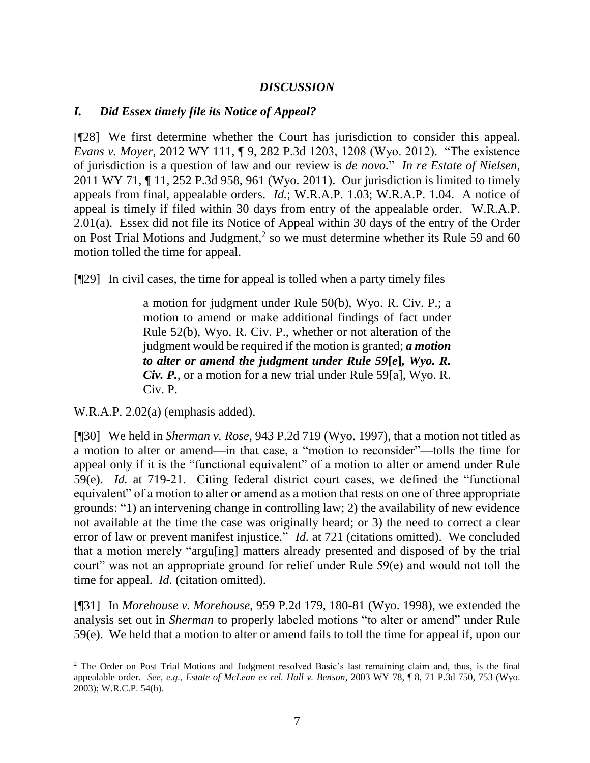#### *DISCUSSION*

### *I. Did Essex timely file its Notice of Appeal?*

[¶28] We first determine whether the Court has jurisdiction to consider this appeal. *Evans v. Moyer*, 2012 WY 111, ¶ 9, 282 P.3d 1203, 1208 (Wyo. 2012). "The existence of jurisdiction is a question of law and our review is *de novo.*" *In re Estate of Nielsen*, 2011 WY 71, ¶ 11, 252 P.3d 958, 961 (Wyo. 2011). Our jurisdiction is limited to timely appeals from final, appealable orders. *Id.*; W.R.A.P. 1.03; W.R.A.P. 1.04. A notice of appeal is timely if filed within 30 days from entry of the appealable order. W.R.A.P. 2.01(a). Essex did not file its Notice of Appeal within 30 days of the entry of the Order on Post Trial Motions and Judgment,<sup>2</sup> so we must determine whether its Rule 59 and 60 motion tolled the time for appeal.

[¶29] In civil cases, the time for appeal is tolled when a party timely files

a motion for judgment under Rule 50(b), Wyo. R. Civ. P.; a motion to amend or make additional findings of fact under Rule 52(b), Wyo. R. Civ. P., whether or not alteration of the judgment would be required if the motion is granted; *a motion to alter or amend the judgment under Rule 59***[***e***]***, Wyo. R. Civ. P.*, or a motion for a new trial under Rule 59[a], Wyo. R. Civ. P.

W.R.A.P. 2.02(a) (emphasis added).

 $\overline{a}$ 

[¶30] We held in *Sherman v. Rose*, 943 P.2d 719 (Wyo. 1997), that a motion not titled as a motion to alter or amend—in that case, a "motion to reconsider"—tolls the time for appeal only if it is the "functional equivalent" of a motion to alter or amend under Rule 59(e). *Id.* at 719-21. Citing federal district court cases, we defined the "functional equivalent" of a motion to alter or amend as a motion that rests on one of three appropriate grounds: "1) an intervening change in controlling law; 2) the availability of new evidence not available at the time the case was originally heard; or 3) the need to correct a clear error of law or prevent manifest injustice." *Id.* at 721 (citations omitted). We concluded that a motion merely "argu[ing] matters already presented and disposed of by the trial court" was not an appropriate ground for relief under Rule 59(e) and would not toll the time for appeal. *Id.* (citation omitted).

[¶31] In *Morehouse v. Morehouse*, 959 P.2d 179, 180-81 (Wyo. 1998), we extended the analysis set out in *Sherman* to properly labeled motions "to alter or amend" under Rule 59(e). We held that a motion to alter or amend fails to toll the time for appeal if, upon our

<sup>&</sup>lt;sup>2</sup> The Order on Post Trial Motions and Judgment resolved Basic's last remaining claim and, thus, is the final appealable order. *See*, *e.g.*, *Estate of McLean ex rel. Hall v. Benson*, 2003 WY 78, ¶ 8, 71 P.3d 750, 753 (Wyo. 2003); W.R.C.P. 54(b).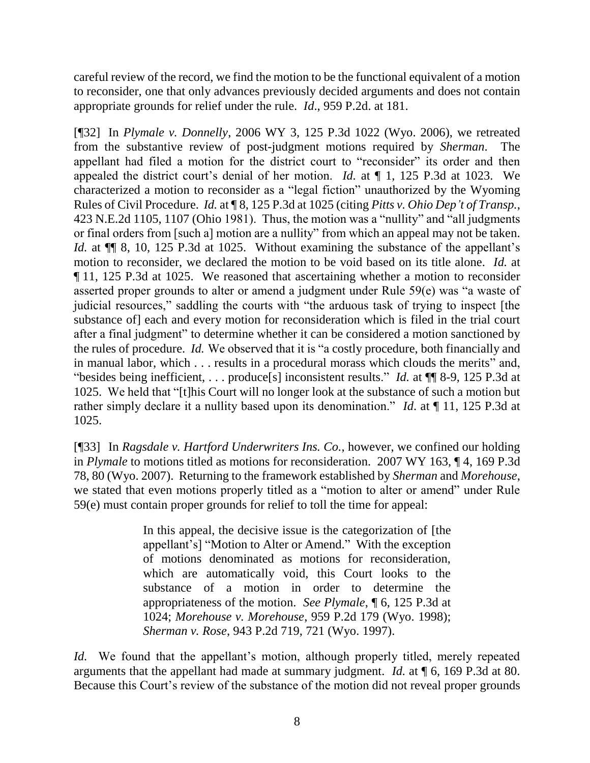careful review of the record, we find the motion to be the functional equivalent of a motion to reconsider, one that only advances previously decided arguments and does not contain appropriate grounds for relief under the rule. *Id*., 959 P.2d. at 181.

[¶32] In *Plymale v. Donnelly*, 2006 WY 3, 125 P.3d 1022 (Wyo. 2006), we retreated from the substantive review of post-judgment motions required by *Sherman*. The appellant had filed a motion for the district court to "reconsider" its order and then appealed the district court's denial of her motion. *Id.* at ¶ 1, 125 P.3d at 1023. We characterized a motion to reconsider as a "legal fiction" unauthorized by the Wyoming Rules of Civil Procedure. *Id.* at ¶ 8, 125 P.3d at 1025 (citing *Pitts v. Ohio Dep't of Transp.*, 423 N.E.2d 1105, 1107 (Ohio 1981). Thus, the motion was a "nullity" and "all judgments or final orders from [such a] motion are a nullity" from which an appeal may not be taken. *Id.* at  $\P$  8, 10, 125 P.3d at 1025. Without examining the substance of the appellant's motion to reconsider, we declared the motion to be void based on its title alone. *Id.* at ¶ 11, 125 P.3d at 1025. We reasoned that ascertaining whether a motion to reconsider asserted proper grounds to alter or amend a judgment under Rule 59(e) was "a waste of judicial resources," saddling the courts with "the arduous task of trying to inspect [the substance of] each and every motion for reconsideration which is filed in the trial court after a final judgment" to determine whether it can be considered a motion sanctioned by the rules of procedure. *Id.* We observed that it is "a costly procedure, both financially and in manual labor, which . . . results in a procedural morass which clouds the merits" and, "besides being inefficient, . . . produce[s] inconsistent results." *Id.* at ¶¶ 8-9, 125 P.3d at 1025. We held that "[t]his Court will no longer look at the substance of such a motion but rather simply declare it a nullity based upon its denomination." *Id*. at ¶ 11, 125 P.3d at 1025.

[¶33] In *Ragsdale v. Hartford Underwriters Ins. Co.*, however, we confined our holding in *Plymale* to motions titled as motions for reconsideration. 2007 WY 163, ¶ 4, 169 P.3d 78, 80 (Wyo. 2007). Returning to the framework established by *Sherman* and *Morehouse*, we stated that even motions properly titled as a "motion to alter or amend" under Rule 59(e) must contain proper grounds for relief to toll the time for appeal:

> In this appeal, the decisive issue is the categorization of [the appellant's] "Motion to Alter or Amend." With the exception of motions denominated as motions for reconsideration, which are automatically void, this Court looks to the substance of a motion in order to determine the appropriateness of the motion. *See Plymale*, ¶ 6, 125 P.3d at 1024; *Morehouse v. Morehouse*, 959 P.2d 179 (Wyo. 1998); *Sherman v. Rose*, 943 P.2d 719, 721 (Wyo. 1997).

*Id.* We found that the appellant's motion, although properly titled, merely repeated arguments that the appellant had made at summary judgment. *Id.* at ¶ 6, 169 P.3d at 80. Because this Court's review of the substance of the motion did not reveal proper grounds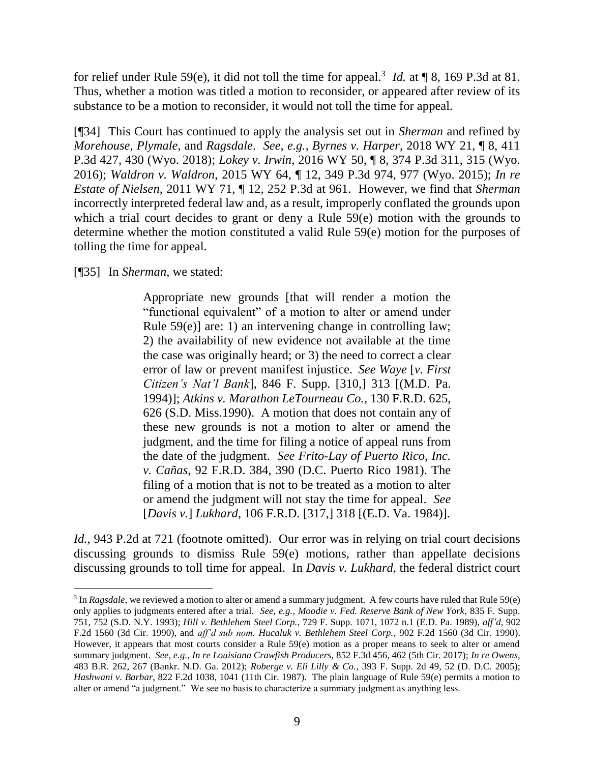for relief under Rule 59(e), it did not toll the time for appeal.<sup>3</sup> *Id.* at ¶ 8, 169 P.3d at 81. Thus, whether a motion was titled a motion to reconsider, or appeared after review of its substance to be a motion to reconsider, it would not toll the time for appeal.

[¶34] This Court has continued to apply the analysis set out in *Sherman* and refined by *Morehouse*, *Plymale*, and *Ragsdale*. *See*, *e.g.*, *Byrnes v. Harper*, 2018 WY 21, ¶ 8, 411 P.3d 427, 430 (Wyo. 2018); *Lokey v. Irwin*, 2016 WY 50, ¶ 8, 374 P.3d 311, 315 (Wyo. 2016); *Waldron v. Waldron*, 2015 WY 64, ¶ 12, 349 P.3d 974, 977 (Wyo. 2015); *In re Estate of Nielsen*, 2011 WY 71, ¶ 12, 252 P.3d at 961. However, we find that *Sherman* incorrectly interpreted federal law and, as a result, improperly conflated the grounds upon which a trial court decides to grant or deny a Rule 59(e) motion with the grounds to determine whether the motion constituted a valid Rule 59(e) motion for the purposes of tolling the time for appeal.

[¶35] In *Sherman*, we stated:

 $\overline{a}$ 

Appropriate new grounds [that will render a motion the "functional equivalent" of a motion to alter or amend under Rule 59(e)] are: 1) an intervening change in controlling law; 2) the availability of new evidence not available at the time the case was originally heard; or 3) the need to correct a clear error of law or prevent manifest injustice. *See Waye* [*v. First Citizen's Nat'l Bank*], 846 F. Supp. [310,] 313 [(M.D. Pa. 1994)]; *Atkins v. Marathon LeTourneau Co.*, 130 F.R.D. 625, 626 (S.D. Miss.1990). A motion that does not contain any of these new grounds is not a motion to alter or amend the judgment, and the time for filing a notice of appeal runs from the date of the judgment. *See Frito-Lay of Puerto Rico, Inc. v. Cañas*, 92 F.R.D. 384, 390 (D.C. Puerto Rico 1981). The filing of a motion that is not to be treated as a motion to alter or amend the judgment will not stay the time for appeal. *See*  [*Davis v.*] *Lukhard*, 106 F.R.D. [317,] 318 [(E.D. Va. 1984)].

*Id.*, 943 P.2d at 721 (footnote omitted). Our error was in relying on trial court decisions discussing grounds to dismiss Rule 59(e) motions, rather than appellate decisions discussing grounds to toll time for appeal. In *Davis v. Lukhard*, the federal district court

<sup>&</sup>lt;sup>3</sup> In *Ragsdale*, we reviewed a motion to alter or amend a summary judgment. A few courts have ruled that Rule 59(e) only applies to judgments entered after a trial. *See*, *e.g.*, *Moodie v. Fed. Reserve Bank of New York*, 835 F. Supp. 751, 752 (S.D. N.Y. 1993); *Hill v. Bethlehem Steel Corp.*, 729 F. Supp. 1071, 1072 n.1 (E.D. Pa. 1989), *aff'd*, 902 F.2d 1560 (3d Cir. 1990), and *aff'd sub nom. Hucaluk v. Bethlehem Steel Corp.*, 902 F.2d 1560 (3d Cir. 1990). However, it appears that most courts consider a Rule 59(e) motion as a proper means to seek to alter or amend summary judgment. *See*, *e.g.*, *In re Louisiana Crawfish Producers*, 852 F.3d 456, 462 (5th Cir. 2017); *In re Owens*, 483 B.R. 262, 267 (Bankr. N.D. Ga. 2012); *Roberge v. Eli Lilly & Co.*, 393 F. Supp. 2d 49, 52 (D. D.C. 2005); *Hashwani v. Barbar*, 822 F.2d 1038, 1041 (11th Cir. 1987). The plain language of Rule 59(e) permits a motion to alter or amend "a judgment." We see no basis to characterize a summary judgment as anything less.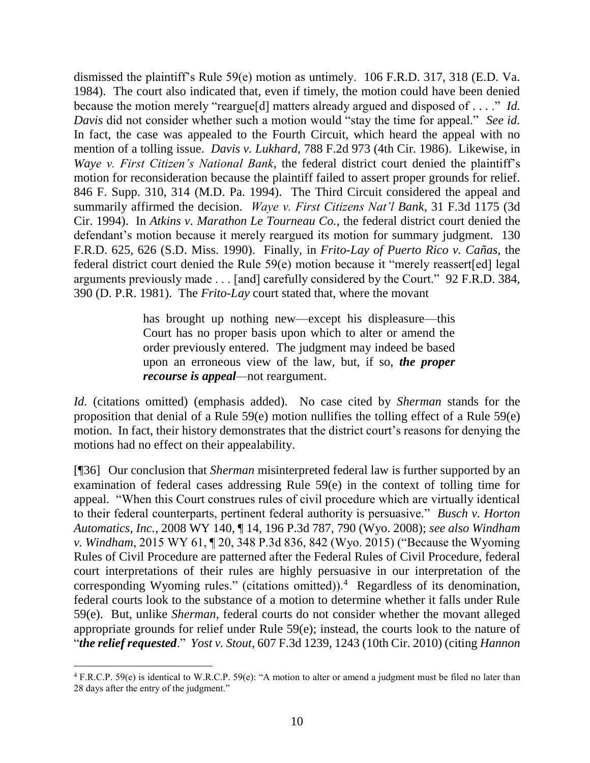dismissed the plaintiff's Rule 59(e) motion as untimely. 106 F.R.D. 317, 318 (E.D. Va. 1984). The court also indicated that, even if timely, the motion could have been denied because the motion merely "reargue[d] matters already argued and disposed of . . . ." *Id. Davis* did not consider whether such a motion would "stay the time for appeal." *See id.*  In fact, the case was appealed to the Fourth Circuit, which heard the appeal with no mention of a tolling issue. *Davis v. Lukhard*, 788 F.2d 973 (4th Cir. 1986). Likewise, in *Waye v. First Citizen's National Bank*, the federal district court denied the plaintiff's motion for reconsideration because the plaintiff failed to assert proper grounds for relief. 846 F. Supp. 310, 314 (M.D. Pa. 1994). The Third Circuit considered the appeal and summarily affirmed the decision. *Waye v. First Citizens Nat'l Bank*, 31 F.3d 1175 (3d Cir. 1994). In *Atkins v. Marathon Le Tourneau Co.*, the federal district court denied the defendant's motion because it merely reargued its motion for summary judgment. 130 F.R.D. 625, 626 (S.D. Miss. 1990). Finally, in *Frito-Lay of Puerto Rico v. Cañas*, the federal district court denied the Rule 59(e) motion because it "merely reassert[ed] legal arguments previously made . . . [and] carefully considered by the Court." 92 F.R.D. 384, 390 (D. P.R. 1981). The *Frito-Lay* court stated that, where the movant

> has brought up nothing new—except his displeasure—this Court has no proper basis upon which to alter or amend the order previously entered. The judgment may indeed be based upon an erroneous view of the law, but, if so, *the proper recourse is appeal—*not reargument.

*Id.* (citations omitted) (emphasis added). No case cited by *Sherman* stands for the proposition that denial of a Rule 59(e) motion nullifies the tolling effect of a Rule 59(e) motion. In fact, their history demonstrates that the district court's reasons for denying the motions had no effect on their appealability.

[¶36] Our conclusion that *Sherman* misinterpreted federal law is further supported by an examination of federal cases addressing Rule 59(e) in the context of tolling time for appeal. "When this Court construes rules of civil procedure which are virtually identical to their federal counterparts, pertinent federal authority is persuasive." *Busch v. Horton Automatics, Inc.*, 2008 WY 140, ¶ 14, 196 P.3d 787, 790 (Wyo. 2008); *see also Windham v. Windham*, 2015 WY 61, ¶ 20, 348 P.3d 836, 842 (Wyo. 2015) ("Because the Wyoming Rules of Civil Procedure are patterned after the Federal Rules of Civil Procedure, federal court interpretations of their rules are highly persuasive in our interpretation of the corresponding Wyoming rules." (citations omitted)). $4$  Regardless of its denomination, federal courts look to the substance of a motion to determine whether it falls under Rule 59(e). But, unlike *Sherman*, federal courts do not consider whether the movant alleged appropriate grounds for relief under Rule 59(e); instead, the courts look to the nature of "*the relief requested*." *Yost v. Stout*, 607 F.3d 1239, 1243 (10th Cir. 2010) (citing *Hannon* 

 $4$  F.R.C.P. 59(e) is identical to W.R.C.P. 59(e): "A motion to alter or amend a judgment must be filed no later than 28 days after the entry of the judgment."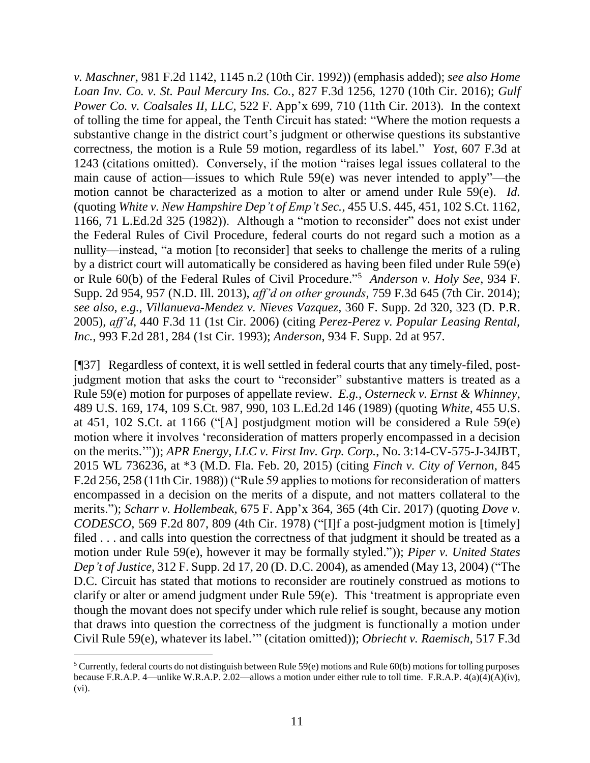*v. Maschner*, 981 F.2d 1142, 1145 n.2 (10th Cir. 1992)) (emphasis added); *see also Home Loan Inv. Co. v. St. Paul Mercury Ins. Co.*, 827 F.3d 1256, 1270 (10th Cir. 2016); *Gulf Power Co. v. Coalsales II, LLC*, 522 F. App'x 699, 710 (11th Cir. 2013). In the context of tolling the time for appeal, the Tenth Circuit has stated: "Where the motion requests a substantive change in the district court's judgment or otherwise questions its substantive correctness, the motion is a Rule 59 motion, regardless of its label." *Yost*, 607 F.3d at 1243 (citations omitted). Conversely, if the motion "raises legal issues collateral to the main cause of action—issues to which Rule 59(e) was never intended to apply"—the motion cannot be characterized as a motion to alter or amend under Rule 59(e). *Id.*  (quoting *White v. New Hampshire Dep't of Emp't Sec.*, 455 U.S. 445, 451, 102 S.Ct. 1162, 1166, 71 L.Ed.2d 325 (1982)). Although a "motion to reconsider" does not exist under the Federal Rules of Civil Procedure, federal courts do not regard such a motion as a nullity—instead, "a motion [to reconsider] that seeks to challenge the merits of a ruling by a district court will automatically be considered as having been filed under Rule 59(e) or Rule 60(b) of the Federal Rules of Civil Procedure." <sup>5</sup> *Anderson v. Holy See*, 934 F. Supp. 2d 954, 957 (N.D. Ill. 2013), *aff'd on other grounds*, 759 F.3d 645 (7th Cir. 2014); *see also*, *e.g.*, *Villanueva-Mendez v. Nieves Vazquez*, 360 F. Supp. 2d 320, 323 (D. P.R. 2005), *aff'd*, 440 F.3d 11 (1st Cir. 2006) (citing *Perez-Perez v. Popular Leasing Rental, Inc.*, 993 F.2d 281, 284 (1st Cir. 1993); *Anderson*, 934 F. Supp. 2d at 957.

[¶37] Regardless of context, it is well settled in federal courts that any timely-filed, postjudgment motion that asks the court to "reconsider" substantive matters is treated as a Rule 59(e) motion for purposes of appellate review. *E.g.*, *Osterneck v. Ernst & Whinney*, 489 U.S. 169, 174, 109 S.Ct. 987, 990, 103 L.Ed.2d 146 (1989) (quoting *White*, 455 U.S. at 451, 102 S.Ct. at 1166 ("[A] postjudgment motion will be considered a Rule 59(e) motion where it involves 'reconsideration of matters properly encompassed in a decision on the merits.'")); *APR Energy, LLC v. First Inv. Grp. Corp.*, No. 3:14-CV-575-J-34JBT, 2015 WL 736236, at \*3 (M.D. Fla. Feb. 20, 2015) (citing *Finch v. City of Vernon*, 845 F.2d 256, 258 (11th Cir. 1988)) ("Rule 59 applies to motions for reconsideration of matters encompassed in a decision on the merits of a dispute, and not matters collateral to the merits."); *Scharr v. Hollembeak*, 675 F. App'x 364, 365 (4th Cir. 2017) (quoting *Dove v. CODESCO*, 569 F.2d 807, 809 (4th Cir. 1978) ("[I]f a post-judgment motion is [timely] filed . . . and calls into question the correctness of that judgment it should be treated as a motion under Rule 59(e), however it may be formally styled.")); *Piper v. United States Dep't of Justice*, 312 F. Supp. 2d 17, 20 (D. D.C. 2004), as amended (May 13, 2004) ("The D.C. Circuit has stated that motions to reconsider are routinely construed as motions to clarify or alter or amend judgment under Rule 59(e). This 'treatment is appropriate even though the movant does not specify under which rule relief is sought, because any motion that draws into question the correctness of the judgment is functionally a motion under Civil Rule 59(e), whatever its label.'" (citation omitted)); *Obriecht v. Raemisch*, 517 F.3d

 $\overline{a}$ 

<sup>&</sup>lt;sup>5</sup> Currently, federal courts do not distinguish between Rule  $59(e)$  motions and Rule  $60(b)$  motions for tolling purposes because F.R.A.P. 4—unlike W.R.A.P. 2.02—allows a motion under either rule to toll time. F.R.A.P. 4(a)(4)(A)(iv), (vi).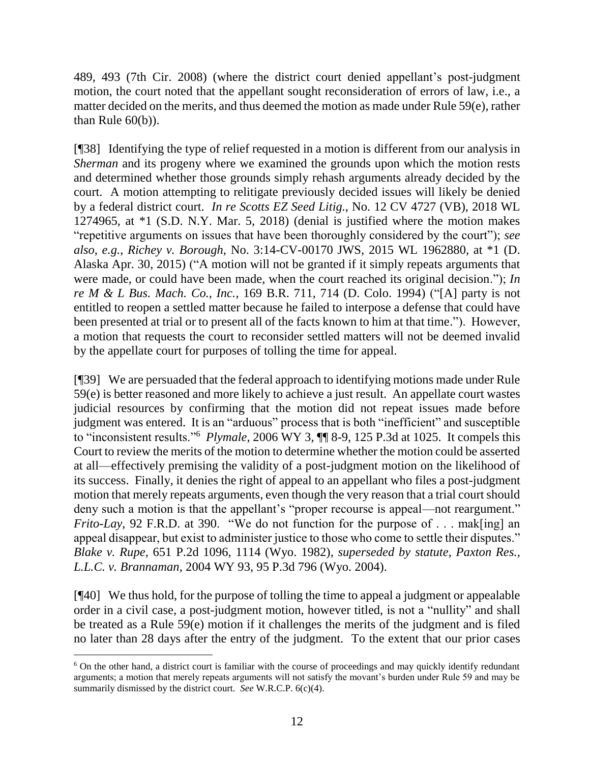489, 493 (7th Cir. 2008) (where the district court denied appellant's post-judgment motion, the court noted that the appellant sought reconsideration of errors of law, i.e., a matter decided on the merits, and thus deemed the motion as made under Rule 59(e), rather than Rule  $60(b)$ ).

[¶38] Identifying the type of relief requested in a motion is different from our analysis in *Sherman* and its progeny where we examined the grounds upon which the motion rests and determined whether those grounds simply rehash arguments already decided by the court. A motion attempting to relitigate previously decided issues will likely be denied by a federal district court. *In re Scotts EZ Seed Litig.*, No. 12 CV 4727 (VB), 2018 WL 1274965, at \*1 (S.D. N.Y. Mar. 5, 2018) (denial is justified where the motion makes "repetitive arguments on issues that have been thoroughly considered by the court"); *see also*, *e.g.*, *Richey v. Borough*, No. 3:14-CV-00170 JWS, 2015 WL 1962880, at \*1 (D. Alaska Apr. 30, 2015) ("A motion will not be granted if it simply repeats arguments that were made, or could have been made, when the court reached its original decision."); *In re M & L Bus. Mach. Co., Inc.*, 169 B.R. 711, 714 (D. Colo. 1994) ("[A] party is not entitled to reopen a settled matter because he failed to interpose a defense that could have been presented at trial or to present all of the facts known to him at that time."). However, a motion that requests the court to reconsider settled matters will not be deemed invalid by the appellate court for purposes of tolling the time for appeal.

[¶39] We are persuaded that the federal approach to identifying motions made under Rule 59(e) is better reasoned and more likely to achieve a just result. An appellate court wastes judicial resources by confirming that the motion did not repeat issues made before judgment was entered. It is an "arduous" process that is both "inefficient" and susceptible to "inconsistent results."<sup>6</sup> *Plymale*, 2006 WY 3, ¶¶ 8-9, 125 P.3d at 1025. It compels this Court to review the merits of the motion to determine whether the motion could be asserted at all—effectively premising the validity of a post-judgment motion on the likelihood of its success. Finally, it denies the right of appeal to an appellant who files a post-judgment motion that merely repeats arguments, even though the very reason that a trial court should deny such a motion is that the appellant's "proper recourse is appeal—not reargument." *Frito-Lay*, 92 F.R.D. at 390. "We do not function for the purpose of . . . mak[ing] an appeal disappear, but exist to administer justice to those who come to settle their disputes." *Blake v. Rupe*, 651 P.2d 1096, 1114 (Wyo. 1982), *superseded by statute*, *Paxton Res., L.L.C. v. Brannaman*, 2004 WY 93, 95 P.3d 796 (Wyo. 2004).

[¶40] We thus hold, for the purpose of tolling the time to appeal a judgment or appealable order in a civil case, a post-judgment motion, however titled, is not a "nullity" and shall be treated as a Rule 59(e) motion if it challenges the merits of the judgment and is filed no later than 28 days after the entry of the judgment. To the extent that our prior cases

 $\overline{a}$ 

<sup>&</sup>lt;sup>6</sup> On the other hand, a district court is familiar with the course of proceedings and may quickly identify redundant arguments; a motion that merely repeats arguments will not satisfy the movant's burden under Rule 59 and may be summarily dismissed by the district court. *See* W.R.C.P. 6(c)(4).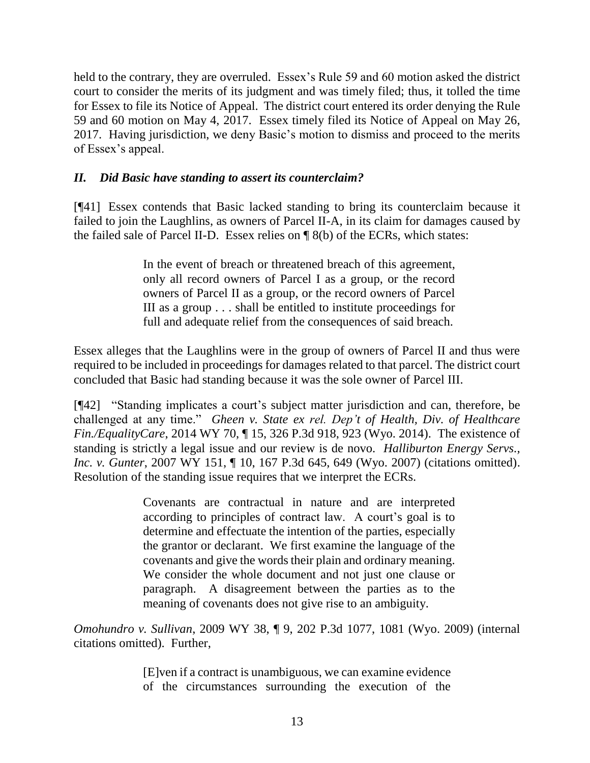held to the contrary, they are overruled. Essex's Rule 59 and 60 motion asked the district court to consider the merits of its judgment and was timely filed; thus, it tolled the time for Essex to file its Notice of Appeal. The district court entered its order denying the Rule 59 and 60 motion on May 4, 2017. Essex timely filed its Notice of Appeal on May 26, 2017. Having jurisdiction, we deny Basic's motion to dismiss and proceed to the merits of Essex's appeal.

### *II. Did Basic have standing to assert its counterclaim?*

[¶41] Essex contends that Basic lacked standing to bring its counterclaim because it failed to join the Laughlins, as owners of Parcel II-A, in its claim for damages caused by the failed sale of Parcel II-D. Essex relies on ¶ 8(b) of the ECRs, which states:

> In the event of breach or threatened breach of this agreement, only all record owners of Parcel I as a group, or the record owners of Parcel II as a group, or the record owners of Parcel III as a group . . . shall be entitled to institute proceedings for full and adequate relief from the consequences of said breach.

Essex alleges that the Laughlins were in the group of owners of Parcel II and thus were required to be included in proceedings for damages related to that parcel. The district court concluded that Basic had standing because it was the sole owner of Parcel III.

[¶42] "Standing implicates a court's subject matter jurisdiction and can, therefore, be challenged at any time."*Gheen v. State ex rel. Dep't of Health, Div. of Healthcare Fin./EqualityCare*, 2014 WY 70, ¶ 15, 326 P.3d 918, 923 (Wyo. 2014). The existence of standing is strictly a legal issue and our review is de novo. *Halliburton Energy Servs., Inc. v. Gunter*, 2007 WY 151, ¶ 10, 167 P.3d 645, 649 (Wyo. 2007) (citations omitted). Resolution of the standing issue requires that we interpret the ECRs.

> Covenants are contractual in nature and are interpreted according to principles of contract law. A court's goal is to determine and effectuate the intention of the parties, especially the grantor or declarant. We first examine the language of the covenants and give the words their plain and ordinary meaning. We consider the whole document and not just one clause or paragraph. A disagreement between the parties as to the meaning of covenants does not give rise to an ambiguity.

*Omohundro v. Sullivan*, 2009 WY 38, ¶ 9, 202 P.3d 1077, 1081 (Wyo. 2009) (internal citations omitted). Further,

> [E]ven if a contract is unambiguous, we can examine evidence of the circumstances surrounding the execution of the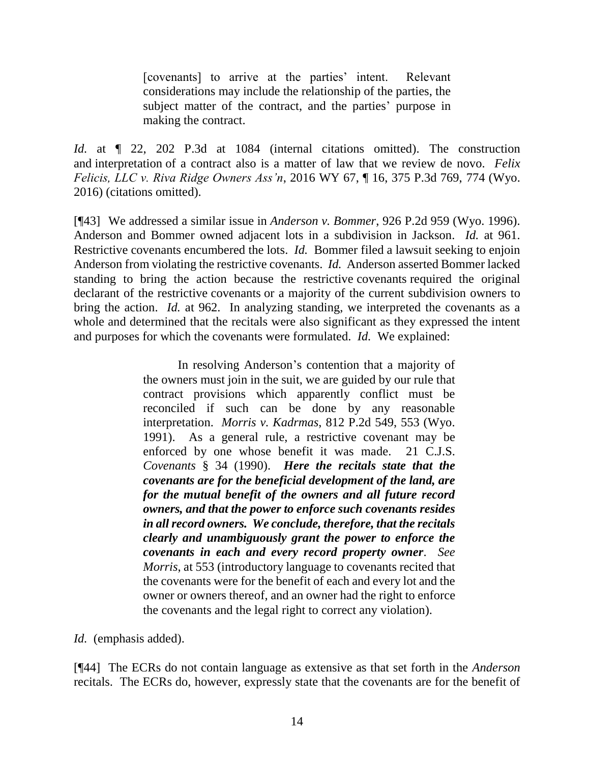[covenants] to arrive at the parties' intent. Relevant considerations may include the relationship of the parties, the subject matter of the contract, and the parties' purpose in making the contract.

*Id.* at  $\llbracket$  22, 202 P.3d at 1084 (internal citations omitted). The construction and interpretation of a contract also is a matter of law that we review de novo. *Felix Felicis, LLC v. Riva Ridge Owners Ass'n*, 2016 WY 67, ¶ 16, 375 P.3d 769, 774 (Wyo. 2016) (citations omitted).

[¶43] We addressed a similar issue in *Anderson v. Bommer*, 926 P.2d 959 (Wyo. 1996). Anderson and Bommer owned adjacent lots in a subdivision in Jackson. *Id.* at 961. Restrictive covenants encumbered the lots. *Id.* Bommer filed a lawsuit seeking to enjoin Anderson from violating the restrictive covenants. *Id.* Anderson asserted Bommer lacked standing to bring the action because the restrictive covenants required the original declarant of the restrictive covenants or a majority of the current subdivision owners to bring the action. *Id.* at 962. In analyzing standing, we interpreted the covenants as a whole and determined that the recitals were also significant as they expressed the intent and purposes for which the covenants were formulated. *Id.* We explained:

> In resolving Anderson's contention that a majority of the owners must join in the suit, we are guided by our rule that contract provisions which apparently conflict must be reconciled if such can be done by any reasonable interpretation. *Morris v. Kadrmas*, 812 P.2d 549, 553 (Wyo. 1991). As a general rule, a restrictive covenant may be enforced by one whose benefit it was made. 21 C.J.S. *Covenants* § 34 (1990). *Here the recitals state that the covenants are for the beneficial development of the land, are for the mutual benefit of the owners and all future record owners, and that the power to enforce such covenants resides in all record owners. We conclude, therefore, that the recitals clearly and unambiguously grant the power to enforce the covenants in each and every record property owner*. *See Morris*, at 553 (introductory language to covenants recited that the covenants were for the benefit of each and every lot and the owner or owners thereof, and an owner had the right to enforce the covenants and the legal right to correct any violation).

*Id.* (emphasis added).

[¶44] The ECRs do not contain language as extensive as that set forth in the *Anderson*  recitals. The ECRs do, however, expressly state that the covenants are for the benefit of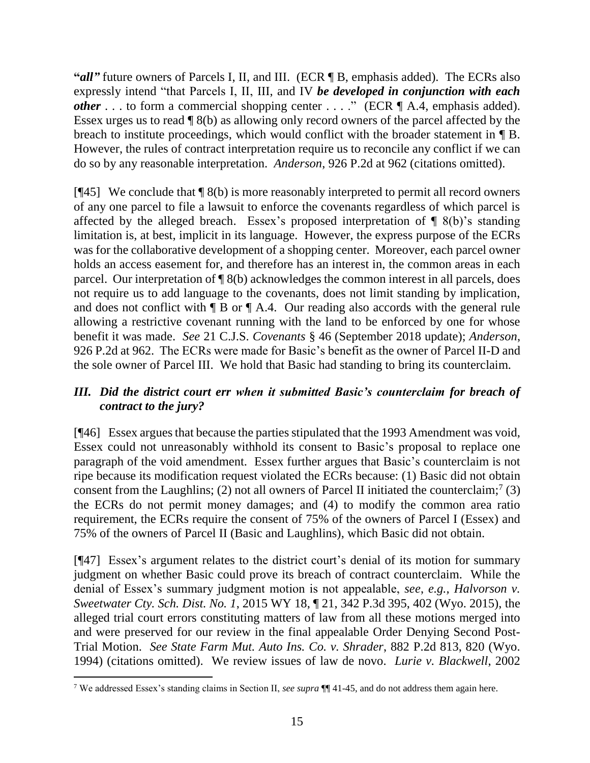**"***all***"** future owners of Parcels I, II, and III. (ECR ¶ B, emphasis added). The ECRs also expressly intend "that Parcels I, II, III, and IV *be developed in conjunction with each other* . . . to form a commercial shopping center . . . ." (ECR  $\P$  A.4, emphasis added). Essex urges us to read ¶ 8(b) as allowing only record owners of the parcel affected by the breach to institute proceedings, which would conflict with the broader statement in ¶ B. However, the rules of contract interpretation require us to reconcile any conflict if we can do so by any reasonable interpretation. *Anderson*, 926 P.2d at 962 (citations omitted).

[ $[$ 45] We conclude that  $[$  8(b) is more reasonably interpreted to permit all record owners of any one parcel to file a lawsuit to enforce the covenants regardless of which parcel is affected by the alleged breach. Essex's proposed interpretation of  $\P$  8(b)'s standing limitation is, at best, implicit in its language. However, the express purpose of the ECRs was for the collaborative development of a shopping center. Moreover, each parcel owner holds an access easement for, and therefore has an interest in, the common areas in each parcel. Our interpretation of ¶ 8(b) acknowledges the common interest in all parcels, does not require us to add language to the covenants, does not limit standing by implication, and does not conflict with  $\P$  B or  $\P$  A.4. Our reading also accords with the general rule allowing a restrictive covenant running with the land to be enforced by one for whose benefit it was made. *See* 21 C.J.S. *Covenants* § 46 (September 2018 update); *Anderson*, 926 P.2d at 962. The ECRs were made for Basic's benefit as the owner of Parcel II-D and the sole owner of Parcel III. We hold that Basic had standing to bring its counterclaim.

# *III. Did the district court err when it submitted Basic's counterclaim for breach of contract to the jury?*

[¶46] Essex argues that because the parties stipulated that the 1993 Amendment was void, Essex could not unreasonably withhold its consent to Basic's proposal to replace one paragraph of the void amendment. Essex further argues that Basic's counterclaim is not ripe because its modification request violated the ECRs because: (1) Basic did not obtain consent from the Laughlins; (2) not all owners of Parcel II initiated the counterclaim;<sup>7</sup> (3) the ECRs do not permit money damages; and (4) to modify the common area ratio requirement, the ECRs require the consent of 75% of the owners of Parcel I (Essex) and 75% of the owners of Parcel II (Basic and Laughlins), which Basic did not obtain.

[¶47] Essex's argument relates to the district court's denial of its motion for summary judgment on whether Basic could prove its breach of contract counterclaim. While the denial of Essex's summary judgment motion is not appealable, *see*, *e.g., Halvorson v. Sweetwater Cty. Sch. Dist. No. 1*, 2015 WY 18, ¶ 21, 342 P.3d 395, 402 (Wyo. 2015), the alleged trial court errors constituting matters of law from all these motions merged into and were preserved for our review in the final appealable Order Denying Second Post-Trial Motion. *See State Farm Mut. Auto Ins. Co. v. Shrader*, 882 P.2d 813, 820 (Wyo. 1994) (citations omitted). We review issues of law de novo. *Lurie v. Blackwell*, 2002

 $\overline{a}$ 

<sup>7</sup> We addressed Essex's standing claims in Section II, *see supra* ¶¶ 41-45, and do not address them again here.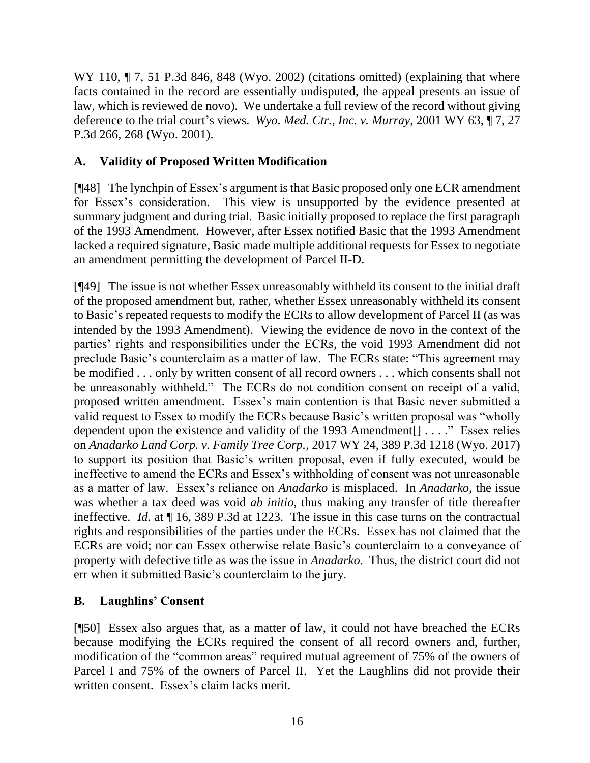WY 110,  $\P$  7, 51 P.3d 846, 848 (Wyo. 2002) (citations omitted) (explaining that where facts contained in the record are essentially undisputed, the appeal presents an issue of law, which is reviewed de novo). We undertake a full review of the record without giving deference to the trial court's views. *Wyo. Med. Ctr., Inc. v. Murray*, 2001 WY 63, ¶ 7, 27 P.3d 266, 268 (Wyo. 2001).

# **A. Validity of Proposed Written Modification**

[¶48] The lynchpin of Essex's argument is that Basic proposed only one ECR amendment for Essex's consideration. This view is unsupported by the evidence presented at summary judgment and during trial. Basic initially proposed to replace the first paragraph of the 1993 Amendment. However, after Essex notified Basic that the 1993 Amendment lacked a required signature, Basic made multiple additional requests for Essex to negotiate an amendment permitting the development of Parcel II-D.

[¶49] The issue is not whether Essex unreasonably withheld its consent to the initial draft of the proposed amendment but, rather, whether Essex unreasonably withheld its consent to Basic's repeated requests to modify the ECRs to allow development of Parcel II (as was intended by the 1993 Amendment). Viewing the evidence de novo in the context of the parties' rights and responsibilities under the ECRs, the void 1993 Amendment did not preclude Basic's counterclaim as a matter of law. The ECRs state: "This agreement may be modified . . . only by written consent of all record owners . . . which consents shall not be unreasonably withheld." The ECRs do not condition consent on receipt of a valid, proposed written amendment. Essex's main contention is that Basic never submitted a valid request to Essex to modify the ECRs because Basic's written proposal was "wholly dependent upon the existence and validity of the 1993 Amendment[] . . . ." Essex relies on *Anadarko Land Corp. v. Family Tree Corp.*, 2017 WY 24, 389 P.3d 1218 (Wyo. 2017) to support its position that Basic's written proposal, even if fully executed, would be ineffective to amend the ECRs and Essex's withholding of consent was not unreasonable as a matter of law. Essex's reliance on *Anadarko* is misplaced. In *Anadarko*, the issue was whether a tax deed was void *ab initio*, thus making any transfer of title thereafter ineffective. *Id.* at ¶ 16, 389 P.3d at 1223. The issue in this case turns on the contractual rights and responsibilities of the parties under the ECRs. Essex has not claimed that the ECRs are void; nor can Essex otherwise relate Basic's counterclaim to a conveyance of property with defective title as was the issue in *Anadarko*. Thus, the district court did not err when it submitted Basic's counterclaim to the jury.

# **B. Laughlins' Consent**

[¶50] Essex also argues that, as a matter of law, it could not have breached the ECRs because modifying the ECRs required the consent of all record owners and, further, modification of the "common areas" required mutual agreement of 75% of the owners of Parcel I and 75% of the owners of Parcel II. Yet the Laughlins did not provide their written consent. Essex's claim lacks merit.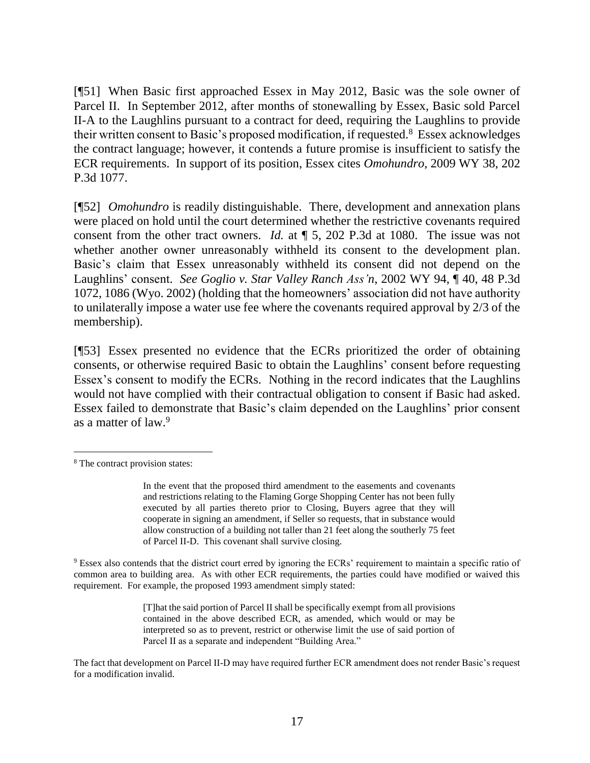[¶51] When Basic first approached Essex in May 2012, Basic was the sole owner of Parcel II. In September 2012, after months of stonewalling by Essex, Basic sold Parcel II-A to the Laughlins pursuant to a contract for deed, requiring the Laughlins to provide their written consent to Basic's proposed modification, if requested. <sup>8</sup> Essex acknowledges the contract language; however, it contends a future promise is insufficient to satisfy the ECR requirements. In support of its position, Essex cites *Omohundro*, 2009 WY 38, 202 P.3d 1077.

[¶52] *Omohundro* is readily distinguishable. There, development and annexation plans were placed on hold until the court determined whether the restrictive covenants required consent from the other tract owners. *Id.* at ¶ 5, 202 P.3d at 1080. The issue was not whether another owner unreasonably withheld its consent to the development plan. Basic's claim that Essex unreasonably withheld its consent did not depend on the Laughlins' consent. *See Goglio v. Star Valley Ranch Ass'n*, 2002 WY 94, ¶ 40, 48 P.3d 1072, 1086 (Wyo. 2002) (holding that the homeowners' association did not have authority to unilaterally impose a water use fee where the covenants required approval by 2/3 of the membership).

[¶53] Essex presented no evidence that the ECRs prioritized the order of obtaining consents, or otherwise required Basic to obtain the Laughlins' consent before requesting Essex's consent to modify the ECRs. Nothing in the record indicates that the Laughlins would not have complied with their contractual obligation to consent if Basic had asked. Essex failed to demonstrate that Basic's claim depended on the Laughlins' prior consent as a matter of law. 9

 $\overline{a}$ 

<sup>9</sup> Essex also contends that the district court erred by ignoring the ECRs' requirement to maintain a specific ratio of common area to building area. As with other ECR requirements, the parties could have modified or waived this requirement. For example, the proposed 1993 amendment simply stated:

> [T]hat the said portion of Parcel II shall be specifically exempt from all provisions contained in the above described ECR, as amended, which would or may be interpreted so as to prevent, restrict or otherwise limit the use of said portion of Parcel II as a separate and independent "Building Area."

<sup>8</sup> The contract provision states:

In the event that the proposed third amendment to the easements and covenants and restrictions relating to the Flaming Gorge Shopping Center has not been fully executed by all parties thereto prior to Closing, Buyers agree that they will cooperate in signing an amendment, if Seller so requests, that in substance would allow construction of a building not taller than 21 feet along the southerly 75 feet of Parcel II-D. This covenant shall survive closing.

The fact that development on Parcel II-D may have required further ECR amendment does not render Basic's request for a modification invalid.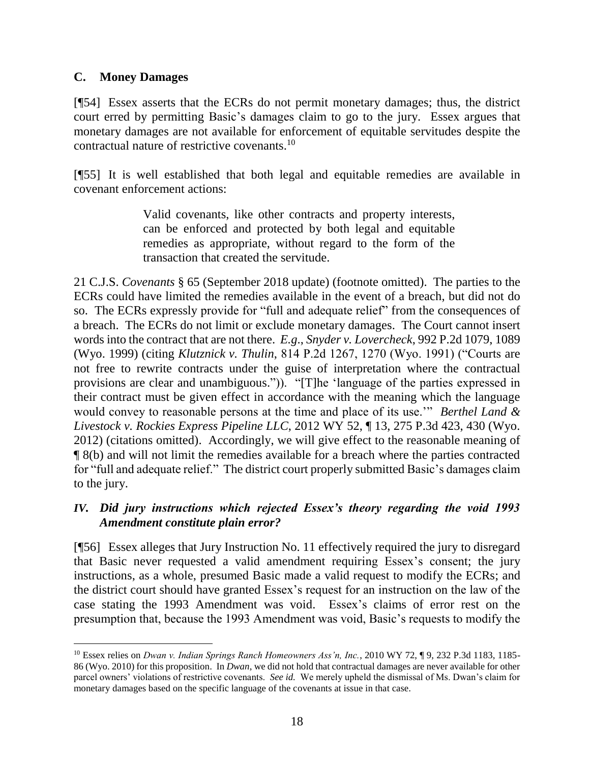### **C. Money Damages**

[¶54] Essex asserts that the ECRs do not permit monetary damages; thus, the district court erred by permitting Basic's damages claim to go to the jury. Essex argues that monetary damages are not available for enforcement of equitable servitudes despite the contractual nature of restrictive covenants.<sup>10</sup>

[¶55] It is well established that both legal and equitable remedies are available in covenant enforcement actions:

> Valid covenants, like other contracts and property interests, can be enforced and protected by both legal and equitable remedies as appropriate, without regard to the form of the transaction that created the servitude.

21 C.J.S. *Covenants* § 65 (September 2018 update) (footnote omitted). The parties to the ECRs could have limited the remedies available in the event of a breach, but did not do so. The ECRs expressly provide for "full and adequate relief" from the consequences of a breach. The ECRs do not limit or exclude monetary damages. The Court cannot insert words into the contract that are not there. *E.g*., *Snyder v. Lovercheck*, 992 P.2d 1079, 1089 (Wyo. 1999) (citing *Klutznick v. Thulin*, 814 P.2d 1267, 1270 (Wyo. 1991) ("Courts are not free to rewrite contracts under the guise of interpretation where the contractual provisions are clear and unambiguous.")). "[T]he 'language of the parties expressed in their contract must be given effect in accordance with the meaning which the language would convey to reasonable persons at the time and place of its use.'" *Berthel Land & Livestock v. Rockies Express Pipeline LLC*, 2012 WY 52, ¶ 13, 275 P.3d 423, 430 (Wyo. 2012) (citations omitted). Accordingly, we will give effect to the reasonable meaning of ¶ 8(b) and will not limit the remedies available for a breach where the parties contracted for "full and adequate relief." The district court properly submitted Basic's damages claim to the jury.

# *IV. Did jury instructions which rejected Essex's theory regarding the void 1993 Amendment constitute plain error?*

[¶56] Essex alleges that Jury Instruction No. 11 effectively required the jury to disregard that Basic never requested a valid amendment requiring Essex's consent; the jury instructions, as a whole, presumed Basic made a valid request to modify the ECRs; and the district court should have granted Essex's request for an instruction on the law of the case stating the 1993 Amendment was void. Essex's claims of error rest on the presumption that, because the 1993 Amendment was void, Basic's requests to modify the

<sup>&</sup>lt;sup>10</sup> Essex relies on *Dwan v. Indian Springs Ranch Homeowners Ass'n, Inc.*, 2010 WY 72, ¶ 9, 232 P.3d 1183, 1185-86 (Wyo. 2010) for this proposition. In *Dwan*, we did not hold that contractual damages are never available for other parcel owners' violations of restrictive covenants. *See id.* We merely upheld the dismissal of Ms. Dwan's claim for monetary damages based on the specific language of the covenants at issue in that case.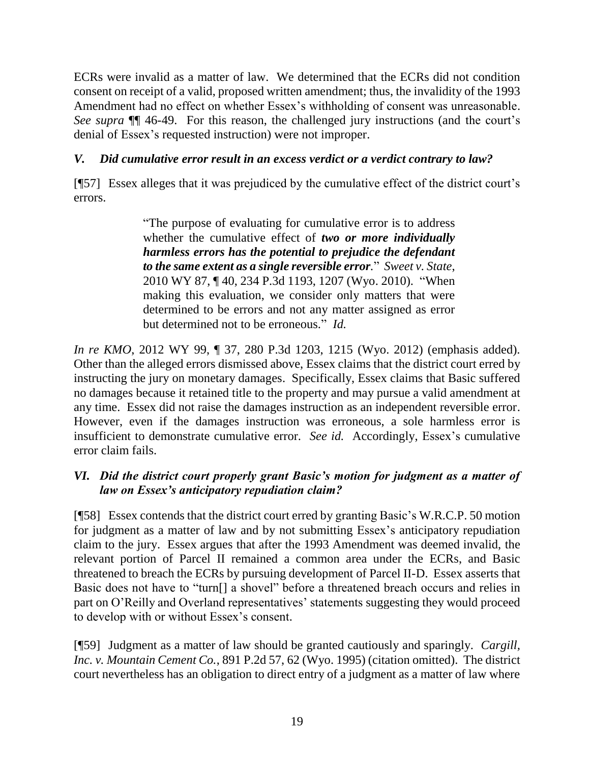ECRs were invalid as a matter of law. We determined that the ECRs did not condition consent on receipt of a valid, proposed written amendment; thus, the invalidity of the 1993 Amendment had no effect on whether Essex's withholding of consent was unreasonable. *See supra* ¶¶ 46-49. For this reason, the challenged jury instructions (and the court's denial of Essex's requested instruction) were not improper.

# *V. Did cumulative error result in an excess verdict or a verdict contrary to law?*

[¶57] Essex alleges that it was prejudiced by the cumulative effect of the district court's errors.

> "The purpose of evaluating for cumulative error is to address whether the cumulative effect of *two or more individually harmless errors has the potential to prejudice the defendant to the same extent as a single reversible error.*" *Sweet v. State*, 2010 WY 87, ¶ 40, 234 P.3d 1193, 1207 (Wyo. 2010). "When making this evaluation, we consider only matters that were determined to be errors and not any matter assigned as error but determined not to be erroneous." *Id.*

*In re KMO*, 2012 WY 99, ¶ 37, 280 P.3d 1203, 1215 (Wyo. 2012) (emphasis added). Other than the alleged errors dismissed above, Essex claims that the district court erred by instructing the jury on monetary damages. Specifically, Essex claims that Basic suffered no damages because it retained title to the property and may pursue a valid amendment at any time. Essex did not raise the damages instruction as an independent reversible error. However, even if the damages instruction was erroneous, a sole harmless error is insufficient to demonstrate cumulative error. *See id.* Accordingly, Essex's cumulative error claim fails.

# *VI. Did the district court properly grant Basic's motion for judgment as a matter of law on Essex's anticipatory repudiation claim?*

[¶58] Essex contends that the district court erred by granting Basic's W.R.C.P. 50 motion for judgment as a matter of law and by not submitting Essex's anticipatory repudiation claim to the jury. Essex argues that after the 1993 Amendment was deemed invalid, the relevant portion of Parcel II remained a common area under the ECRs, and Basic threatened to breach the ECRs by pursuing development of Parcel II-D. Essex asserts that Basic does not have to "turn[] a shovel" before a threatened breach occurs and relies in part on O'Reilly and Overland representatives' statements suggesting they would proceed to develop with or without Essex's consent.

[¶59] Judgment as a matter of law should be granted cautiously and sparingly. *Cargill, Inc. v. Mountain Cement Co.*, 891 P.2d 57, 62 (Wyo. 1995) (citation omitted). The district court nevertheless has an obligation to direct entry of a judgment as a matter of law where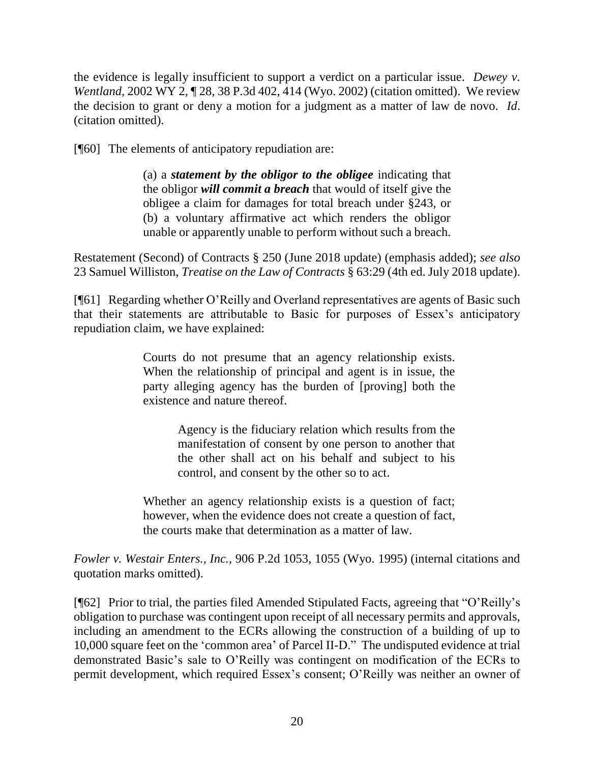the evidence is legally insufficient to support a verdict on a particular issue. *Dewey v. Wentland*, 2002 WY 2, 128, 38 P.3d 402, 414 (Wyo. 2002) (citation omitted). We review the decision to grant or deny a motion for a judgment as a matter of law de novo. *Id*. (citation omitted).

[¶60] The elements of anticipatory repudiation are:

(a) a *statement by the obligor to the obligee* indicating that the obligor *will commit a breach* that would of itself give the obligee a claim for damages for total breach under §243, or (b) a voluntary affirmative act which renders the obligor unable or apparently unable to perform without such a breach.

Restatement (Second) of Contracts § 250 (June 2018 update) (emphasis added); *see also* 23 Samuel Williston, *Treatise on the Law of Contracts* § 63:29 (4th ed. July 2018 update).

[¶61] Regarding whether O'Reilly and Overland representatives are agents of Basic such that their statements are attributable to Basic for purposes of Essex's anticipatory repudiation claim, we have explained:

> Courts do not presume that an agency relationship exists. When the relationship of principal and agent is in issue, the party alleging agency has the burden of [proving] both the existence and nature thereof.

> > Agency is the fiduciary relation which results from the manifestation of consent by one person to another that the other shall act on his behalf and subject to his control, and consent by the other so to act.

Whether an agency relationship exists is a question of fact; however, when the evidence does not create a question of fact, the courts make that determination as a matter of law.

*Fowler v. Westair Enters., Inc.*, 906 P.2d 1053, 1055 (Wyo. 1995) (internal citations and quotation marks omitted).

[¶62] Prior to trial, the parties filed Amended Stipulated Facts, agreeing that "O'Reilly's obligation to purchase was contingent upon receipt of all necessary permits and approvals, including an amendment to the ECRs allowing the construction of a building of up to 10,000 square feet on the 'common area' of Parcel II-D." The undisputed evidence at trial demonstrated Basic's sale to O'Reilly was contingent on modification of the ECRs to permit development, which required Essex's consent; O'Reilly was neither an owner of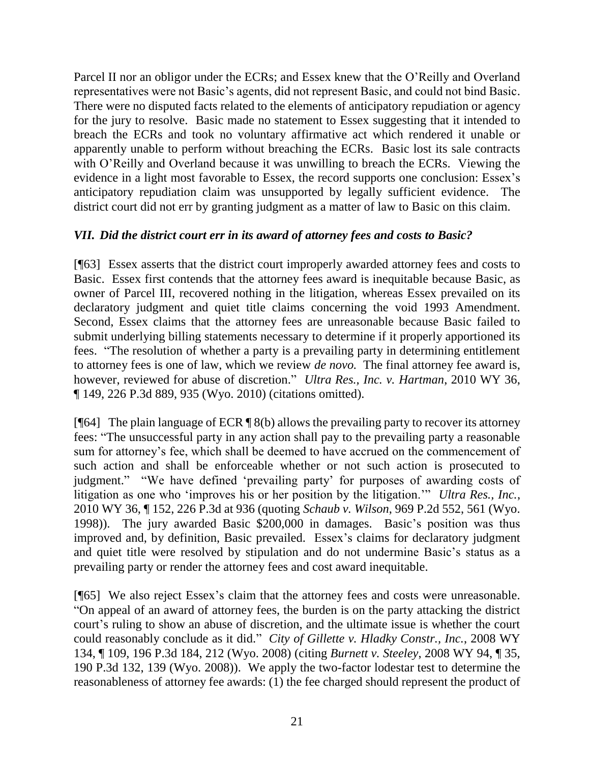Parcel II nor an obligor under the ECRs; and Essex knew that the O'Reilly and Overland representatives were not Basic's agents, did not represent Basic, and could not bind Basic. There were no disputed facts related to the elements of anticipatory repudiation or agency for the jury to resolve. Basic made no statement to Essex suggesting that it intended to breach the ECRs and took no voluntary affirmative act which rendered it unable or apparently unable to perform without breaching the ECRs. Basic lost its sale contracts with O'Reilly and Overland because it was unwilling to breach the ECRs. Viewing the evidence in a light most favorable to Essex, the record supports one conclusion: Essex's anticipatory repudiation claim was unsupported by legally sufficient evidence. The district court did not err by granting judgment as a matter of law to Basic on this claim.

### *VII. Did the district court err in its award of attorney fees and costs to Basic?*

[¶63] Essex asserts that the district court improperly awarded attorney fees and costs to Basic. Essex first contends that the attorney fees award is inequitable because Basic, as owner of Parcel III, recovered nothing in the litigation, whereas Essex prevailed on its declaratory judgment and quiet title claims concerning the void 1993 Amendment. Second, Essex claims that the attorney fees are unreasonable because Basic failed to submit underlying billing statements necessary to determine if it properly apportioned its fees. "The resolution of whether a party is a prevailing party in determining entitlement to attorney fees is one of law, which we review *de novo.* The final attorney fee award is, however, reviewed for abuse of discretion." *Ultra Res., Inc. v. Hartman*, 2010 WY 36, ¶ 149, 226 P.3d 889, 935 (Wyo. 2010) (citations omitted).

[ $[64]$ ] The plain language of ECR  $[8(b)$  allows the prevailing party to recover its attorney fees: "The unsuccessful party in any action shall pay to the prevailing party a reasonable sum for attorney's fee, which shall be deemed to have accrued on the commencement of such action and shall be enforceable whether or not such action is prosecuted to judgment." "We have defined 'prevailing party' for purposes of awarding costs of litigation as one who 'improves his or her position by the litigation.'" *Ultra Res., Inc.*, 2010 WY 36, ¶ 152, 226 P.3d at 936 (quoting *Schaub v. Wilson*, 969 P.2d 552, 561 (Wyo. 1998)). The jury awarded Basic \$200,000 in damages. Basic's position was thus improved and, by definition, Basic prevailed. Essex's claims for declaratory judgment and quiet title were resolved by stipulation and do not undermine Basic's status as a prevailing party or render the attorney fees and cost award inequitable.

[¶65] We also reject Essex's claim that the attorney fees and costs were unreasonable. "On appeal of an award of attorney fees, the burden is on the party attacking the district court's ruling to show an abuse of discretion, and the ultimate issue is whether the court could reasonably conclude as it did." *City of Gillette v. Hladky Constr., Inc.*, 2008 WY 134, ¶ 109, 196 P.3d 184, 212 (Wyo. 2008) (citing *Burnett v. Steeley*, 2008 WY 94, ¶ 35, 190 P.3d 132, 139 (Wyo. 2008)). We apply the two-factor lodestar test to determine the reasonableness of attorney fee awards: (1) the fee charged should represent the product of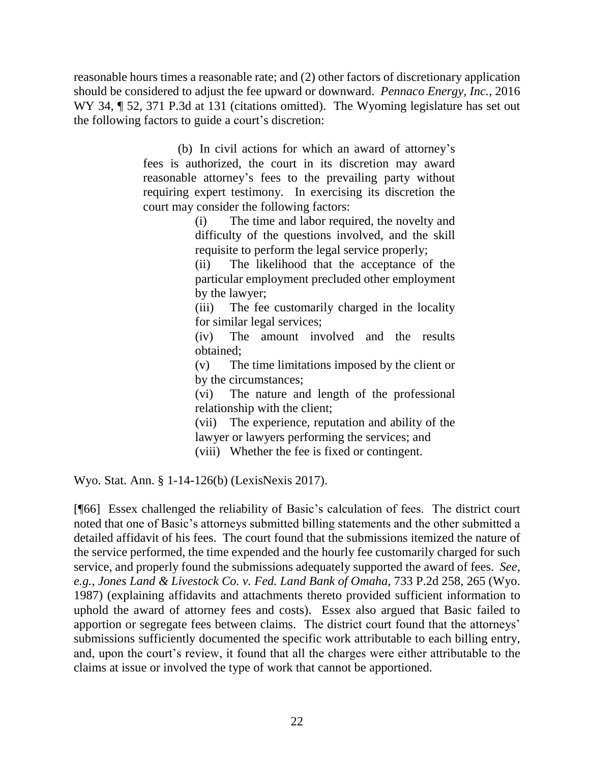reasonable hours times a reasonable rate; and (2) other factors of discretionary application should be considered to adjust the fee upward or downward. *Pennaco Energy, Inc.*, 2016 WY 34,  $\parallel$  52, 371 P.3d at 131 (citations omitted). The Wyoming legislature has set out the following factors to guide a court's discretion:

> (b) In civil actions for which an award of attorney's fees is authorized, the court in its discretion may award reasonable attorney's fees to the prevailing party without requiring expert testimony. In exercising its discretion the court may consider the following factors:

(i) The time and labor required, the novelty and difficulty of the questions involved, and the skill requisite to perform the legal service properly;

(ii) The likelihood that the acceptance of the particular employment precluded other employment by the lawyer;

(iii) The fee customarily charged in the locality for similar legal services;

(iv) The amount involved and the results obtained;

(v) The time limitations imposed by the client or by the circumstances;

(vi) The nature and length of the professional relationship with the client;

(vii) The experience, reputation and ability of the lawyer or lawyers performing the services; and

(viii) Whether the fee is fixed or contingent.

Wyo. Stat. Ann. § 1-14-126(b) (LexisNexis 2017).

[¶66] Essex challenged the reliability of Basic's calculation of fees. The district court noted that one of Basic's attorneys submitted billing statements and the other submitted a detailed affidavit of his fees. The court found that the submissions itemized the nature of the service performed, the time expended and the hourly fee customarily charged for such service, and properly found the submissions adequately supported the award of fees. *See*, *e.g.*, *Jones Land & Livestock Co. v. Fed. Land Bank of Omaha*, 733 P.2d 258, 265 (Wyo. 1987) (explaining affidavits and attachments thereto provided sufficient information to uphold the award of attorney fees and costs). Essex also argued that Basic failed to apportion or segregate fees between claims. The district court found that the attorneys' submissions sufficiently documented the specific work attributable to each billing entry, and, upon the court's review, it found that all the charges were either attributable to the claims at issue or involved the type of work that cannot be apportioned.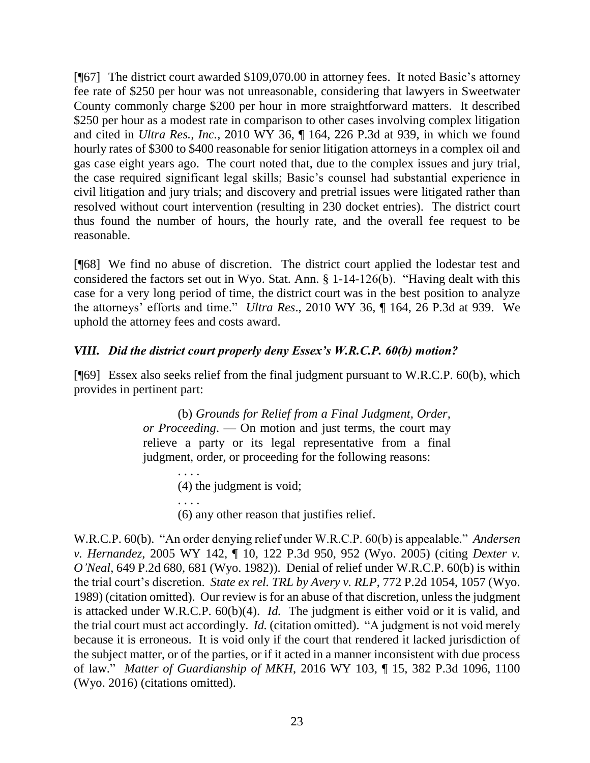[¶67] The district court awarded \$109,070.00 in attorney fees. It noted Basic's attorney fee rate of \$250 per hour was not unreasonable, considering that lawyers in Sweetwater County commonly charge \$200 per hour in more straightforward matters. It described \$250 per hour as a modest rate in comparison to other cases involving complex litigation and cited in *Ultra Res., Inc.*, 2010 WY 36, ¶ 164, 226 P.3d at 939, in which we found hourly rates of \$300 to \$400 reasonable for senior litigation attorneys in a complex oil and gas case eight years ago. The court noted that, due to the complex issues and jury trial, the case required significant legal skills; Basic's counsel had substantial experience in civil litigation and jury trials; and discovery and pretrial issues were litigated rather than resolved without court intervention (resulting in 230 docket entries). The district court thus found the number of hours, the hourly rate, and the overall fee request to be reasonable.

[¶68] We find no abuse of discretion. The district court applied the lodestar test and considered the factors set out in Wyo. Stat. Ann. § 1-14-126(b). "Having dealt with this case for a very long period of time, the district court was in the best position to analyze the attorneys' efforts and time." *Ultra Res*., 2010 WY 36, ¶ 164, 26 P.3d at 939. We uphold the attorney fees and costs award.

# *VIII. Did the district court properly deny Essex's W.R.C.P. 60(b) motion?*

[¶69] Essex also seeks relief from the final judgment pursuant to W.R.C.P. 60(b), which provides in pertinent part:

> (b) *Grounds for Relief from a Final Judgment, Order, or Proceeding*. — On motion and just terms, the court may relieve a party or its legal representative from a final judgment, order, or proceeding for the following reasons:

> > (4) the judgment is void;

. . . .

. . . .

(6) any other reason that justifies relief.

W.R.C.P. 60(b). "An order denying relief under W.R.C.P. 60(b) is appealable." *Andersen v. Hernandez*, 2005 WY 142, ¶ 10, 122 P.3d 950, 952 (Wyo. 2005) (citing *Dexter v. O'Neal*, 649 P.2d 680, 681 (Wyo. 1982)). Denial of relief under W.R.C.P. 60(b) is within the trial court's discretion. *State ex rel. TRL by Avery v. RLP*, 772 P.2d 1054, 1057 (Wyo. 1989) (citation omitted). Our review is for an abuse of that discretion, unless the judgment is attacked under W.R.C.P. 60(b)(4). *Id.* The judgment is either void or it is valid, and the trial court must act accordingly. *Id.* (citation omitted). "A judgment is not void merely because it is erroneous. It is void only if the court that rendered it lacked jurisdiction of the subject matter, or of the parties, or if it acted in a manner inconsistent with due process of law." *Matter of Guardianship of MKH*, 2016 WY 103, ¶ 15, 382 P.3d 1096, 1100 (Wyo. 2016) (citations omitted).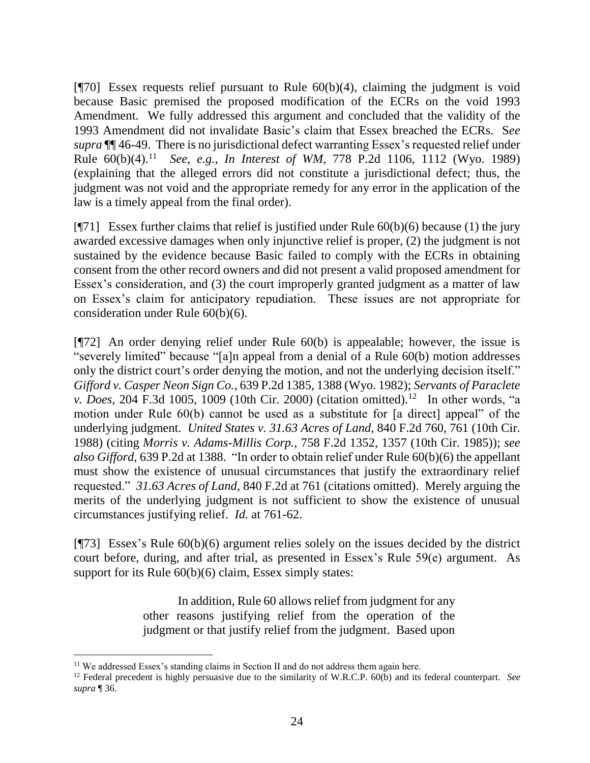[ $[$ 70] Essex requests relief pursuant to Rule  $60(b)(4)$ , claiming the judgment is void because Basic premised the proposed modification of the ECRs on the void 1993 Amendment. We fully addressed this argument and concluded that the validity of the 1993 Amendment did not invalidate Basic's claim that Essex breached the ECRs. S*ee supra* ¶¶ 46-49. There is no jurisdictional defect warranting Essex's requested relief under Rule 60(b)(4). <sup>11</sup> *See*, *e.g.*, *In Interest of WM*, 778 P.2d 1106, 1112 (Wyo. 1989) (explaining that the alleged errors did not constitute a jurisdictional defect; thus, the judgment was not void and the appropriate remedy for any error in the application of the law is a timely appeal from the final order).

[ $[$ 71] Essex further claims that relief is justified under Rule 60(b)(6) because (1) the jury awarded excessive damages when only injunctive relief is proper, (2) the judgment is not sustained by the evidence because Basic failed to comply with the ECRs in obtaining consent from the other record owners and did not present a valid proposed amendment for Essex's consideration, and (3) the court improperly granted judgment as a matter of law on Essex's claim for anticipatory repudiation. These issues are not appropriate for consideration under Rule 60(b)(6).

[¶72] An order denying relief under Rule 60(b) is appealable; however, the issue is "severely limited" because "[a]n appeal from a denial of a Rule 60(b) motion addresses only the district court's order denying the motion, and not the underlying decision itself." *Gifford v. Casper Neon Sign Co.*, 639 P.2d 1385, 1388 (Wyo. 1982); *Servants of Paraclete v. Does*, 204 F.3d 1005, 1009 (10th Cir. 2000) (citation omitted).<sup>12</sup> In other words, "a motion under Rule 60(b) cannot be used as a substitute for [a direct] appeal" of the underlying judgment. *United States v. 31.63 Acres of Land*, 840 F.2d 760, 761 (10th Cir. 1988) (citing *Morris v. Adams-Millis Corp.*, 758 F.2d 1352, 1357 (10th Cir. 1985)); *see also Gifford*, 639 P.2d at 1388."In order to obtain relief under Rule 60(b)(6) the appellant must show the existence of unusual circumstances that justify the extraordinary relief requested." *31.63 Acres of Land*, 840 F.2d at 761 (citations omitted). Merely arguing the merits of the underlying judgment is not sufficient to show the existence of unusual circumstances justifying relief. *Id.* at 761-62.

[¶73] Essex's Rule 60(b)(6) argument relies solely on the issues decided by the district court before, during, and after trial, as presented in Essex's Rule 59(e) argument. As support for its Rule  $60(b)(6)$  claim, Essex simply states:

> In addition, Rule 60 allows relief from judgment for any other reasons justifying relief from the operation of the judgment or that justify relief from the judgment. Based upon

 $\overline{a}$ 

<sup>&</sup>lt;sup>11</sup> We addressed Essex's standing claims in Section II and do not address them again here.

<sup>12</sup> Federal precedent is highly persuasive due to the similarity of W.R.C.P. 60(b) and its federal counterpart. *See supra* ¶ 36*.*